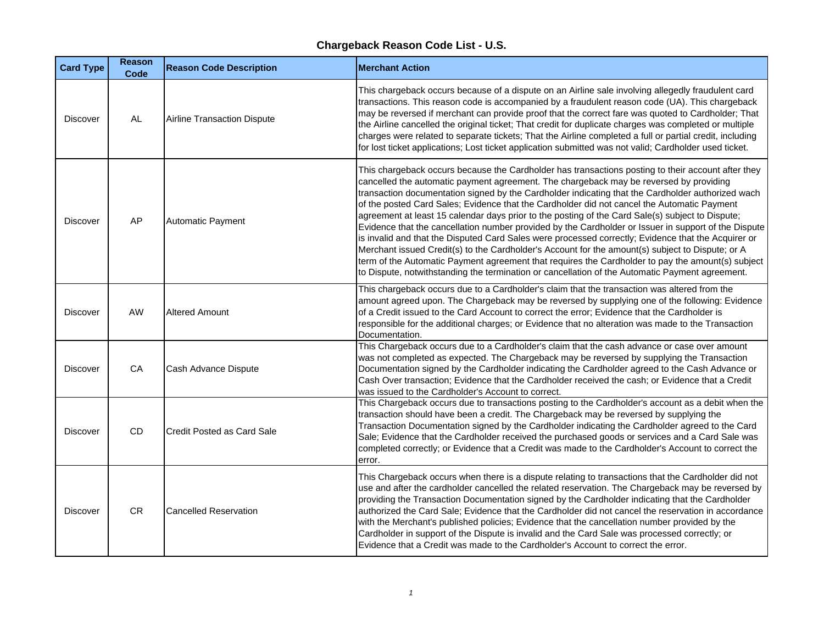| <b>Card Type</b> | <b>Reason</b><br>Code | <b>Reason Code Description</b>     | <b>Merchant Action</b>                                                                                                                                                                                                                                                                                                                                                                                                                                                                                                                                                                                                                                                                                                                                                                                                                                                                                                                                                                                                          |
|------------------|-----------------------|------------------------------------|---------------------------------------------------------------------------------------------------------------------------------------------------------------------------------------------------------------------------------------------------------------------------------------------------------------------------------------------------------------------------------------------------------------------------------------------------------------------------------------------------------------------------------------------------------------------------------------------------------------------------------------------------------------------------------------------------------------------------------------------------------------------------------------------------------------------------------------------------------------------------------------------------------------------------------------------------------------------------------------------------------------------------------|
| <b>Discover</b>  | <b>AL</b>             | <b>Airline Transaction Dispute</b> | This chargeback occurs because of a dispute on an Airline sale involving allegedly fraudulent card<br>transactions. This reason code is accompanied by a fraudulent reason code (UA). This chargeback<br>may be reversed if merchant can provide proof that the correct fare was quoted to Cardholder; That<br>the Airline cancelled the original ticket; That credit for duplicate charges was completed or multiple<br>charges were related to separate tickets; That the Airline completed a full or partial credit, including<br>for lost ticket applications; Lost ticket application submitted was not valid; Cardholder used ticket.                                                                                                                                                                                                                                                                                                                                                                                     |
| <b>Discover</b>  | AP                    | <b>Automatic Payment</b>           | This chargeback occurs because the Cardholder has transactions posting to their account after they<br>cancelled the automatic payment agreement. The chargeback may be reversed by providing<br>transaction documentation signed by the Cardholder indicating that the Cardholder authorized wach<br>of the posted Card Sales; Evidence that the Cardholder did not cancel the Automatic Payment<br>agreement at least 15 calendar days prior to the posting of the Card Sale(s) subject to Dispute;<br>Evidence that the cancellation number provided by the Cardholder or Issuer in support of the Dispute<br>is invalid and that the Disputed Card Sales were processed correctly; Evidence that the Acquirer or<br>Merchant issued Credit(s) to the Cardholder's Account for the amount(s) subject to Dispute; or A<br>term of the Automatic Payment agreement that requires the Cardholder to pay the amount(s) subject<br>to Dispute, notwithstanding the termination or cancellation of the Automatic Payment agreement. |
| <b>Discover</b>  | <b>AW</b>             | <b>Altered Amount</b>              | This chargeback occurs due to a Cardholder's claim that the transaction was altered from the<br>amount agreed upon. The Chargeback may be reversed by supplying one of the following: Evidence<br>of a Credit issued to the Card Account to correct the error; Evidence that the Cardholder is<br>responsible for the additional charges; or Evidence that no alteration was made to the Transaction<br>Documentation.                                                                                                                                                                                                                                                                                                                                                                                                                                                                                                                                                                                                          |
| <b>Discover</b>  | CA                    | Cash Advance Dispute               | This Chargeback occurs due to a Cardholder's claim that the cash advance or case over amount<br>was not completed as expected. The Chargeback may be reversed by supplying the Transaction<br>Documentation signed by the Cardholder indicating the Cardholder agreed to the Cash Advance or<br>Cash Over transaction; Evidence that the Cardholder received the cash; or Evidence that a Credit<br>was issued to the Cardholder's Account to correct.                                                                                                                                                                                                                                                                                                                                                                                                                                                                                                                                                                          |
| <b>Discover</b>  | <b>CD</b>             | Credit Posted as Card Sale         | This Chargeback occurs due to transactions posting to the Cardholder's account as a debit when the<br>transaction should have been a credit. The Chargeback may be reversed by supplying the<br>Transaction Documentation signed by the Cardholder indicating the Cardholder agreed to the Card<br>Sale; Evidence that the Cardholder received the purchased goods or services and a Card Sale was<br>completed correctly; or Evidence that a Credit was made to the Cardholder's Account to correct the<br>error.                                                                                                                                                                                                                                                                                                                                                                                                                                                                                                              |
| <b>Discover</b>  | <b>CR</b>             | <b>Cancelled Reservation</b>       | This Chargeback occurs when there is a dispute relating to transactions that the Cardholder did not<br>use and after the cardholder cancelled the related reservation. The Chargeback may be reversed by<br>providing the Transaction Documentation signed by the Cardholder indicating that the Cardholder<br>authorized the Card Sale; Evidence that the Cardholder did not cancel the reservation in accordance<br>with the Merchant's published policies; Evidence that the cancellation number provided by the<br>Cardholder in support of the Dispute is invalid and the Card Sale was processed correctly; or<br>Evidence that a Credit was made to the Cardholder's Account to correct the error.                                                                                                                                                                                                                                                                                                                       |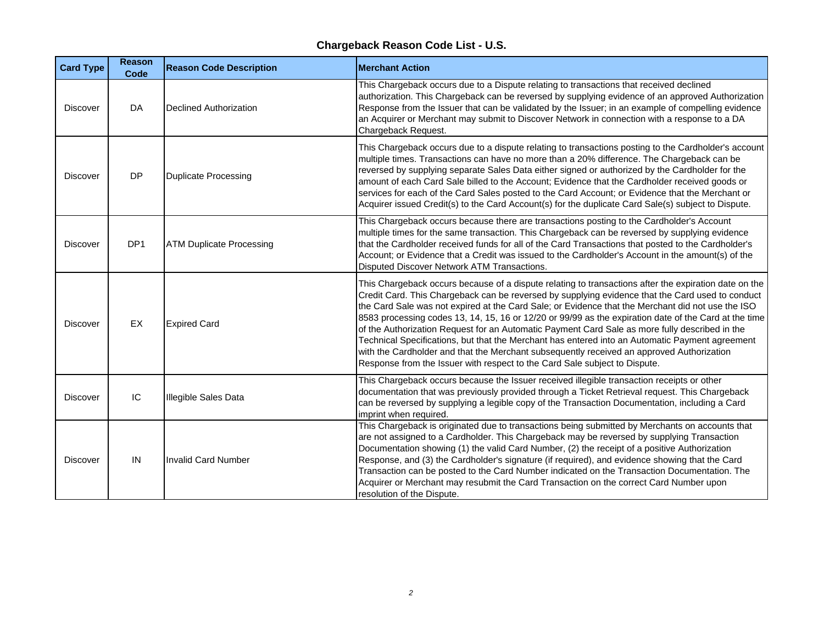| <b>Card Type</b> | <b>Reason</b><br>Code | <b>Reason Code Description</b>  | <b>Merchant Action</b>                                                                                                                                                                                                                                                                                                                                                                                                                                                                                                                                                                                                                                                                                                                                                                                  |
|------------------|-----------------------|---------------------------------|---------------------------------------------------------------------------------------------------------------------------------------------------------------------------------------------------------------------------------------------------------------------------------------------------------------------------------------------------------------------------------------------------------------------------------------------------------------------------------------------------------------------------------------------------------------------------------------------------------------------------------------------------------------------------------------------------------------------------------------------------------------------------------------------------------|
| <b>Discover</b>  | DA                    | <b>Declined Authorization</b>   | This Chargeback occurs due to a Dispute relating to transactions that received declined<br>authorization. This Chargeback can be reversed by supplying evidence of an approved Authorization<br>Response from the Issuer that can be validated by the Issuer; in an example of compelling evidence<br>an Acquirer or Merchant may submit to Discover Network in connection with a response to a DA<br>Chargeback Request.                                                                                                                                                                                                                                                                                                                                                                               |
| <b>Discover</b>  | <b>DP</b>             | <b>Duplicate Processing</b>     | This Chargeback occurs due to a dispute relating to transactions posting to the Cardholder's account<br>multiple times. Transactions can have no more than a 20% difference. The Chargeback can be<br>reversed by supplying separate Sales Data either signed or authorized by the Cardholder for the<br>amount of each Card Sale billed to the Account; Evidence that the Cardholder received goods or<br>services for each of the Card Sales posted to the Card Account; or Evidence that the Merchant or<br>Acquirer issued Credit(s) to the Card Account(s) for the duplicate Card Sale(s) subject to Dispute.                                                                                                                                                                                      |
| <b>Discover</b>  | DP <sub>1</sub>       | <b>ATM Duplicate Processing</b> | This Chargeback occurs because there are transactions posting to the Cardholder's Account<br>multiple times for the same transaction. This Chargeback can be reversed by supplying evidence<br>that the Cardholder received funds for all of the Card Transactions that posted to the Cardholder's<br>Account; or Evidence that a Credit was issued to the Cardholder's Account in the amount(s) of the<br>Disputed Discover Network ATM Transactions.                                                                                                                                                                                                                                                                                                                                                  |
| <b>Discover</b>  | EX                    | <b>Expired Card</b>             | This Chargeback occurs because of a dispute relating to transactions after the expiration date on the<br>Credit Card. This Chargeback can be reversed by supplying evidence that the Card used to conduct<br>the Card Sale was not expired at the Card Sale; or Evidence that the Merchant did not use the ISO<br>8583 processing codes 13, 14, 15, 16 or 12/20 or 99/99 as the expiration date of the Card at the time<br>of the Authorization Request for an Automatic Payment Card Sale as more fully described in the<br>Technical Specifications, but that the Merchant has entered into an Automatic Payment agreement<br>with the Cardholder and that the Merchant subsequently received an approved Authorization<br>Response from the Issuer with respect to the Card Sale subject to Dispute. |
| <b>Discover</b>  | IC                    | <b>Illegible Sales Data</b>     | This Chargeback occurs because the Issuer received illegible transaction receipts or other<br>documentation that was previously provided through a Ticket Retrieval request. This Chargeback<br>can be reversed by supplying a legible copy of the Transaction Documentation, including a Card<br>imprint when required.                                                                                                                                                                                                                                                                                                                                                                                                                                                                                |
| <b>Discover</b>  | IN                    | <b>Invalid Card Number</b>      | This Chargeback is originated due to transactions being submitted by Merchants on accounts that<br>are not assigned to a Cardholder. This Chargeback may be reversed by supplying Transaction<br>Documentation showing (1) the valid Card Number, (2) the receipt of a positive Authorization<br>Response, and (3) the Cardholder's signature (if required), and evidence showing that the Card<br>Transaction can be posted to the Card Number indicated on the Transaction Documentation. The<br>Acquirer or Merchant may resubmit the Card Transaction on the correct Card Number upon<br>resolution of the Dispute.                                                                                                                                                                                 |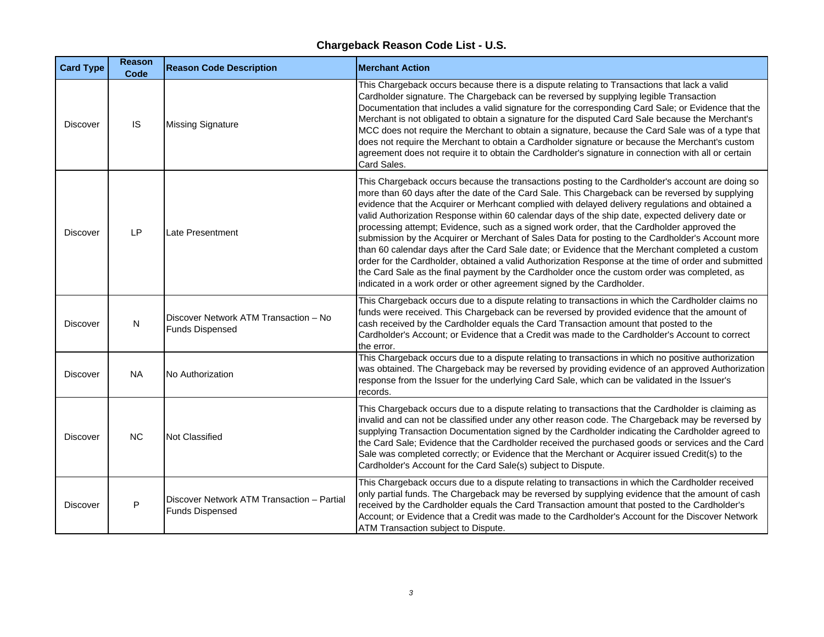| <b>Card Type</b> | <b>Reason</b><br>Code | <b>Reason Code Description</b>                                       | <b>Merchant Action</b>                                                                                                                                                                                                                                                                                                                                                                                                                                                                                                                                                                                                                                                                                                                                                                                                                                                                                                                                                                                |
|------------------|-----------------------|----------------------------------------------------------------------|-------------------------------------------------------------------------------------------------------------------------------------------------------------------------------------------------------------------------------------------------------------------------------------------------------------------------------------------------------------------------------------------------------------------------------------------------------------------------------------------------------------------------------------------------------------------------------------------------------------------------------------------------------------------------------------------------------------------------------------------------------------------------------------------------------------------------------------------------------------------------------------------------------------------------------------------------------------------------------------------------------|
| Discover         | IS                    | <b>Missing Signature</b>                                             | This Chargeback occurs because there is a dispute relating to Transactions that lack a valid<br>Cardholder signature. The Chargeback can be reversed by supplying legible Transaction<br>Documentation that includes a valid signature for the corresponding Card Sale; or Evidence that the<br>Merchant is not obligated to obtain a signature for the disputed Card Sale because the Merchant's<br>MCC does not require the Merchant to obtain a signature, because the Card Sale was of a type that<br>does not require the Merchant to obtain a Cardholder signature or because the Merchant's custom<br>agreement does not require it to obtain the Cardholder's signature in connection with all or certain<br>Card Sales.                                                                                                                                                                                                                                                                      |
| Discover         | LP                    | Late Presentment                                                     | This Chargeback occurs because the transactions posting to the Cardholder's account are doing so<br>more than 60 days after the date of the Card Sale. This Chargeback can be reversed by supplying<br>evidence that the Acquirer or Merhcant complied with delayed delivery regulations and obtained a<br>valid Authorization Response within 60 calendar days of the ship date, expected delivery date or<br>processing attempt; Evidence, such as a signed work order, that the Cardholder approved the<br>submission by the Acquirer or Merchant of Sales Data for posting to the Cardholder's Account more<br>than 60 calendar days after the Card Sale date; or Evidence that the Merchant completed a custom<br>order for the Cardholder, obtained a valid Authorization Response at the time of order and submitted<br>the Card Sale as the final payment by the Cardholder once the custom order was completed, as<br>indicated in a work order or other agreement signed by the Cardholder. |
| Discover         | $\mathsf{N}$          | Discover Network ATM Transaction - No<br><b>Funds Dispensed</b>      | This Chargeback occurs due to a dispute relating to transactions in which the Cardholder claims no<br>funds were received. This Chargeback can be reversed by provided evidence that the amount of<br>cash received by the Cardholder equals the Card Transaction amount that posted to the<br>Cardholder's Account; or Evidence that a Credit was made to the Cardholder's Account to correct<br>the error.                                                                                                                                                                                                                                                                                                                                                                                                                                                                                                                                                                                          |
| Discover         | <b>NA</b>             | No Authorization                                                     | This Chargeback occurs due to a dispute relating to transactions in which no positive authorization<br>was obtained. The Chargeback may be reversed by providing evidence of an approved Authorization<br>response from the Issuer for the underlying Card Sale, which can be validated in the Issuer's<br>records.                                                                                                                                                                                                                                                                                                                                                                                                                                                                                                                                                                                                                                                                                   |
| <b>Discover</b>  | <b>NC</b>             | <b>Not Classified</b>                                                | This Chargeback occurs due to a dispute relating to transactions that the Cardholder is claiming as<br>invalid and can not be classified under any other reason code. The Chargeback may be reversed by<br>supplying Transaction Documentation signed by the Cardholder indicating the Cardholder agreed to<br>the Card Sale; Evidence that the Cardholder received the purchased goods or services and the Card<br>Sale was completed correctly; or Evidence that the Merchant or Acquirer issued Credit(s) to the<br>Cardholder's Account for the Card Sale(s) subject to Dispute.                                                                                                                                                                                                                                                                                                                                                                                                                  |
| Discover         | P                     | Discover Network ATM Transaction - Partial<br><b>Funds Dispensed</b> | This Chargeback occurs due to a dispute relating to transactions in which the Cardholder received<br>only partial funds. The Chargeback may be reversed by supplying evidence that the amount of cash<br>received by the Cardholder equals the Card Transaction amount that posted to the Cardholder's<br>Account; or Evidence that a Credit was made to the Cardholder's Account for the Discover Network<br>ATM Transaction subject to Dispute.                                                                                                                                                                                                                                                                                                                                                                                                                                                                                                                                                     |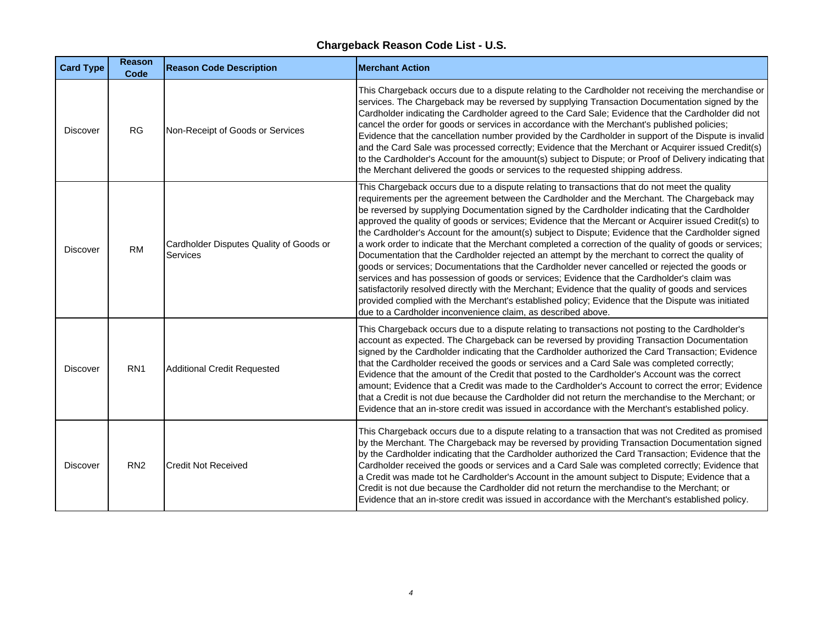| <b>Card Type</b> | <b>Reason</b><br>Code | <b>Reason Code Description</b>                             | <b>Merchant Action</b>                                                                                                                                                                                                                                                                                                                                                                                                                                                                                                                                                                                                                                                                                                                                                                                                                                                                                                                                                                                                                                                                                                                                                                               |
|------------------|-----------------------|------------------------------------------------------------|------------------------------------------------------------------------------------------------------------------------------------------------------------------------------------------------------------------------------------------------------------------------------------------------------------------------------------------------------------------------------------------------------------------------------------------------------------------------------------------------------------------------------------------------------------------------------------------------------------------------------------------------------------------------------------------------------------------------------------------------------------------------------------------------------------------------------------------------------------------------------------------------------------------------------------------------------------------------------------------------------------------------------------------------------------------------------------------------------------------------------------------------------------------------------------------------------|
| <b>Discover</b>  | <b>RG</b>             | Non-Receipt of Goods or Services                           | This Chargeback occurs due to a dispute relating to the Cardholder not receiving the merchandise or<br>services. The Chargeback may be reversed by supplying Transaction Documentation signed by the<br>Cardholder indicating the Cardholder agreed to the Card Sale; Evidence that the Cardholder did not<br>cancel the order for goods or services in accordance with the Merchant's published policies;<br>Evidence that the cancellation number provided by the Cardholder in support of the Dispute is invalid<br>and the Card Sale was processed correctly; Evidence that the Merchant or Acquirer issued Credit(s)<br>to the Cardholder's Account for the amouunt(s) subject to Dispute; or Proof of Delivery indicating that<br>the Merchant delivered the goods or services to the requested shipping address.                                                                                                                                                                                                                                                                                                                                                                              |
| Discover         | <b>RM</b>             | Cardholder Disputes Quality of Goods or<br><b>Services</b> | This Chargeback occurs due to a dispute relating to transactions that do not meet the quality<br>requirements per the agreement between the Cardholder and the Merchant. The Chargeback may<br>be reversed by supplying Documentation signed by the Cardholder indicating that the Cardholder<br>approved the quality of goods or services; Evidence that the Mercant or Acquirer issued Credit(s) to<br>the Cardholder's Account for the amount(s) subject to Dispute; Evidence that the Cardholder signed<br>a work order to indicate that the Merchant completed a correction of the quality of goods or services;<br>Documentation that the Cardholder rejected an attempt by the merchant to correct the quality of<br>goods or services; Documentations that the Cardholder never cancelled or rejected the goods or<br>services and has possession of goods or services; Evidence that the Cardholder's claim was<br>satisfactorily resolved directly with the Merchant; Evidence that the quality of goods and services<br>provided complied with the Merchant's established policy; Evidence that the Dispute was initiated<br>due to a Cardholder inconvenience claim, as described above. |
| Discover         | RN <sub>1</sub>       | <b>Additional Credit Requested</b>                         | This Chargeback occurs due to a dispute relating to transactions not posting to the Cardholder's<br>account as expected. The Chargeback can be reversed by providing Transaction Documentation<br>signed by the Cardholder indicating that the Cardholder authorized the Card Transaction; Evidence<br>that the Cardholder received the goods or services and a Card Sale was completed correctly;<br>Evidence that the amount of the Credit that posted to the Cardholder's Account was the correct<br>amount; Evidence that a Credit was made to the Cardholder's Account to correct the error; Evidence<br>that a Credit is not due because the Cardholder did not return the merchandise to the Merchant; or<br>Evidence that an in-store credit was issued in accordance with the Merchant's established policy.                                                                                                                                                                                                                                                                                                                                                                                |
| Discover         | RN <sub>2</sub>       | <b>Credit Not Received</b>                                 | This Chargeback occurs due to a dispute relating to a transaction that was not Credited as promised<br>by the Merchant. The Chargeback may be reversed by providing Transaction Documentation signed<br>by the Cardholder indicating that the Cardholder authorized the Card Transaction; Evidence that the<br>Cardholder received the goods or services and a Card Sale was completed correctly; Evidence that<br>a Credit was made tot he Cardholder's Account in the amount subject to Dispute; Evidence that a<br>Credit is not due because the Cardholder did not return the merchandise to the Merchant; or<br>Evidence that an in-store credit was issued in accordance with the Merchant's established policy.                                                                                                                                                                                                                                                                                                                                                                                                                                                                               |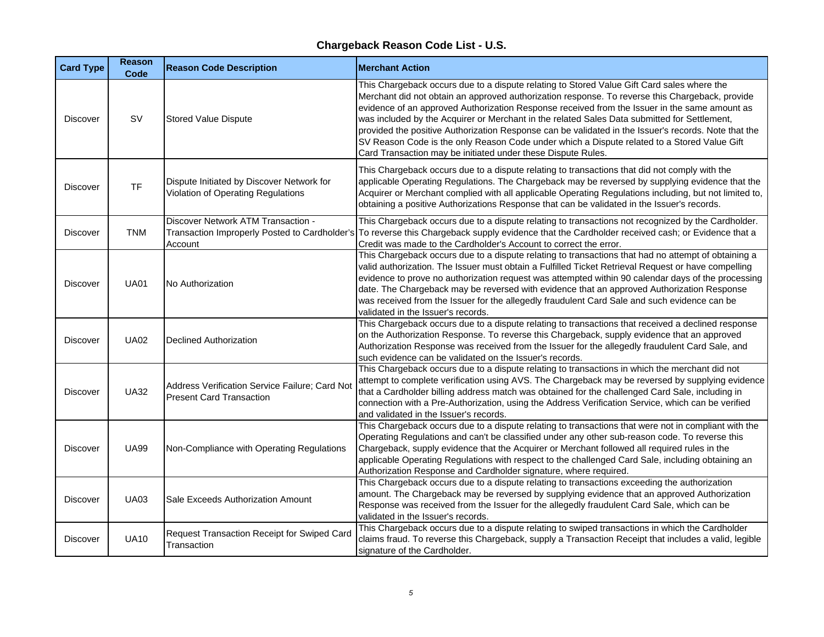| <b>Card Type</b> | <b>Reason</b><br>Code | <b>Reason Code Description</b>                                                    | <b>Merchant Action</b>                                                                                                                                                                                                                                                                                                                                                                                                                                                                                                                                                                                                                                                |
|------------------|-----------------------|-----------------------------------------------------------------------------------|-----------------------------------------------------------------------------------------------------------------------------------------------------------------------------------------------------------------------------------------------------------------------------------------------------------------------------------------------------------------------------------------------------------------------------------------------------------------------------------------------------------------------------------------------------------------------------------------------------------------------------------------------------------------------|
| <b>Discover</b>  | <b>SV</b>             | <b>Stored Value Dispute</b>                                                       | This Chargeback occurs due to a dispute relating to Stored Value Gift Card sales where the<br>Merchant did not obtain an approved authorization response. To reverse this Chargeback, provide<br>evidence of an approved Authorization Response received from the Issuer in the same amount as<br>was included by the Acquirer or Merchant in the related Sales Data submitted for Settlement,<br>provided the positive Authorization Response can be validated in the Issuer's records. Note that the<br>SV Reason Code is the only Reason Code under which a Dispute related to a Stored Value Gift<br>Card Transaction may be initiated under these Dispute Rules. |
| <b>Discover</b>  | <b>TF</b>             | Dispute Initiated by Discover Network for<br>Violation of Operating Regulations   | This Chargeback occurs due to a dispute relating to transactions that did not comply with the<br>applicable Operating Regulations. The Chargeback may be reversed by supplying evidence that the<br>Acquirer or Merchant complied with all applicable Operating Regulations including, but not limited to,<br>obtaining a positive Authorizations Response that can be validated in the Issuer's records.                                                                                                                                                                                                                                                             |
| <b>Discover</b>  | <b>TNM</b>            | Discover Network ATM Transaction -<br>Account                                     | This Chargeback occurs due to a dispute relating to transactions not recognized by the Cardholder.<br>Transaction Improperly Posted to Cardholder's To reverse this Chargeback supply evidence that the Cardholder received cash; or Evidence that a<br>Credit was made to the Cardholder's Account to correct the error.                                                                                                                                                                                                                                                                                                                                             |
| <b>Discover</b>  | <b>UA01</b>           | No Authorization                                                                  | This Chargeback occurs due to a dispute relating to transactions that had no attempt of obtaining a<br>valid authorization. The Issuer must obtain a Fulfilled Ticket Retrieval Request or have compelling<br>evidence to prove no authorization request was attempted within 90 calendar days of the processing<br>date. The Chargeback may be reversed with evidence that an approved Authorization Response<br>was received from the Issuer for the allegedly fraudulent Card Sale and such evidence can be<br>validated in the Issuer's records.                                                                                                                  |
| <b>Discover</b>  | <b>UA02</b>           | <b>Declined Authorization</b>                                                     | This Chargeback occurs due to a dispute relating to transactions that received a declined response<br>on the Authorization Response. To reverse this Chargeback, supply evidence that an approved<br>Authorization Response was received from the Issuer for the allegedly fraudulent Card Sale, and<br>such evidence can be validated on the Issuer's records.                                                                                                                                                                                                                                                                                                       |
| <b>Discover</b>  | <b>UA32</b>           | Address Verification Service Failure; Card Not<br><b>Present Card Transaction</b> | This Chargeback occurs due to a dispute relating to transactions in which the merchant did not<br>attempt to complete verification using AVS. The Chargeback may be reversed by supplying evidence<br>that a Cardholder billing address match was obtained for the challenged Card Sale, including in<br>connection with a Pre-Authorization, using the Address Verification Service, which can be verified<br>and validated in the Issuer's records.                                                                                                                                                                                                                 |
| <b>Discover</b>  | <b>UA99</b>           | Non-Compliance with Operating Regulations                                         | This Chargeback occurs due to a dispute relating to transactions that were not in compliant with the<br>Operating Regulations and can't be classified under any other sub-reason code. To reverse this<br>Chargeback, supply evidence that the Acquirer or Merchant followed all required rules in the<br>applicable Operating Regulations with respect to the challenged Card Sale, including obtaining an<br>Authorization Response and Cardholder signature, where required.                                                                                                                                                                                       |
| <b>Discover</b>  | <b>UA03</b>           | Sale Exceeds Authorization Amount                                                 | This Chargeback occurs due to a dispute relating to transactions exceeding the authorization<br>amount. The Chargeback may be reversed by supplying evidence that an approved Authorization<br>Response was received from the Issuer for the allegedly fraudulent Card Sale, which can be<br>validated in the Issuer's records.                                                                                                                                                                                                                                                                                                                                       |
| <b>Discover</b>  | <b>UA10</b>           | Request Transaction Receipt for Swiped Card<br>Transaction                        | This Chargeback occurs due to a dispute relating to swiped transactions in which the Cardholder<br>claims fraud. To reverse this Chargeback, supply a Transaction Receipt that includes a valid, legible<br>signature of the Cardholder.                                                                                                                                                                                                                                                                                                                                                                                                                              |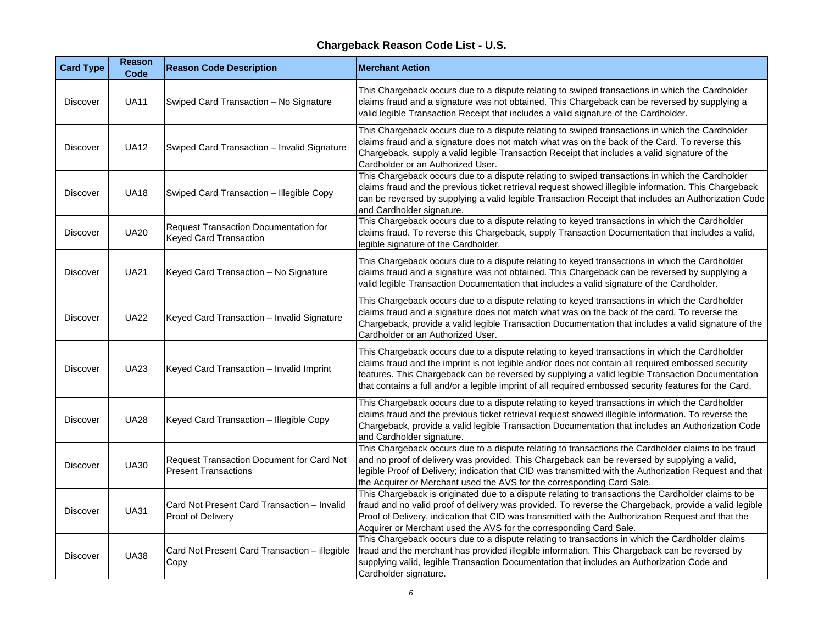| <b>Card Type</b> | <b>Reason</b><br>Code | <b>Reason Code Description</b>                                                | <b>Merchant Action</b>                                                                                                                                                                                                                                                                                                                                                                                             |
|------------------|-----------------------|-------------------------------------------------------------------------------|--------------------------------------------------------------------------------------------------------------------------------------------------------------------------------------------------------------------------------------------------------------------------------------------------------------------------------------------------------------------------------------------------------------------|
| <b>Discover</b>  | <b>UA11</b>           | Swiped Card Transaction - No Signature                                        | This Chargeback occurs due to a dispute relating to swiped transactions in which the Cardholder<br>claims fraud and a signature was not obtained. This Chargeback can be reversed by supplying a<br>valid legible Transaction Receipt that includes a valid signature of the Cardholder.                                                                                                                           |
| Discover         | <b>UA12</b>           | Swiped Card Transaction - Invalid Signature                                   | This Chargeback occurs due to a dispute relating to swiped transactions in which the Cardholder<br>claims fraud and a signature does not match what was on the back of the Card. To reverse this<br>Chargeback, supply a valid legible Transaction Receipt that includes a valid signature of the<br>Cardholder or an Authorized User.                                                                             |
| <b>Discover</b>  | <b>UA18</b>           | Swiped Card Transaction - Illegible Copy                                      | This Chargeback occurs due to a dispute relating to swiped transactions in which the Cardholder<br>claims fraud and the previous ticket retrieval request showed illegible information. This Chargeback<br>can be reversed by supplying a valid legible Transaction Receipt that includes an Authorization Code<br>and Cardholder signature.                                                                       |
| Discover         | <b>UA20</b>           | <b>Request Transaction Documentation for</b><br><b>Keyed Card Transaction</b> | This Chargeback occurs due to a dispute relating to keyed transactions in which the Cardholder<br>claims fraud. To reverse this Chargeback, supply Transaction Documentation that includes a valid,<br>legible signature of the Cardholder.                                                                                                                                                                        |
| Discover         | <b>UA21</b>           | Keyed Card Transaction - No Signature                                         | This Chargeback occurs due to a dispute relating to keyed transactions in which the Cardholder<br>claims fraud and a signature was not obtained. This Chargeback can be reversed by supplying a<br>valid legible Transaction Documentation that includes a valid signature of the Cardholder.                                                                                                                      |
| Discover         | <b>UA22</b>           | Keyed Card Transaction - Invalid Signature                                    | This Chargeback occurs due to a dispute relating to keyed transactions in which the Cardholder<br>claims fraud and a signature does not match what was on the back of the card. To reverse the<br>Chargeback, provide a valid legible Transaction Documentation that includes a valid signature of the<br>Cardholder or an Authorized User.                                                                        |
| Discover         | <b>UA23</b>           | Keyed Card Transaction - Invalid Imprint                                      | This Chargeback occurs due to a dispute relating to keyed transactions in which the Cardholder<br>claims fraud and the imprint is not legible and/or does not contain all required embossed security<br>features. This Chargeback can be reversed by supplying a valid legible Transaction Documentation<br>that contains a full and/or a legible imprint of all required embossed security features for the Card. |
| Discover         | <b>UA28</b>           | Keyed Card Transaction - Illegible Copy                                       | This Chargeback occurs due to a dispute relating to keyed transactions in which the Cardholder<br>claims fraud and the previous ticket retrieval request showed illegible information. To reverse the<br>Chargeback, provide a valid legible Transaction Documentation that includes an Authorization Code<br>and Cardholder signature.                                                                            |
| Discover         | <b>UA30</b>           | Request Transaction Document for Card Not<br><b>Present Transactions</b>      | This Chargeback occurs due to a dispute relating to transactions the Cardholder claims to be fraud<br>and no proof of delivery was provided. This Chargeback can be reversed by supplying a valid,<br>legible Proof of Delivery; indication that CID was transmitted with the Authorization Request and that<br>the Acquirer or Merchant used the AVS for the corresponding Card Sale.                             |
| Discover         | <b>UA31</b>           | Card Not Present Card Transaction - Invalid<br>Proof of Delivery              | This Chargeback is originated due to a dispute relating to transactions the Cardholder claims to be<br>fraud and no valid proof of delivery was provided. To reverse the Chargeback, provide a valid legible<br>Proof of Delivery, indication that CID was transmitted with the Authorization Request and that the<br>Acquirer or Merchant used the AVS for the corresponding Card Sale.                           |
| Discover         | <b>UA38</b>           | Card Not Present Card Transaction - illegible<br>Copy                         | This Chargeback occurs due to a dispute relating to transactions in which the Cardholder claims<br>fraud and the merchant has provided illegible information. This Chargeback can be reversed by<br>supplying valid, legible Transaction Documentation that includes an Authorization Code and<br>Cardholder signature.                                                                                            |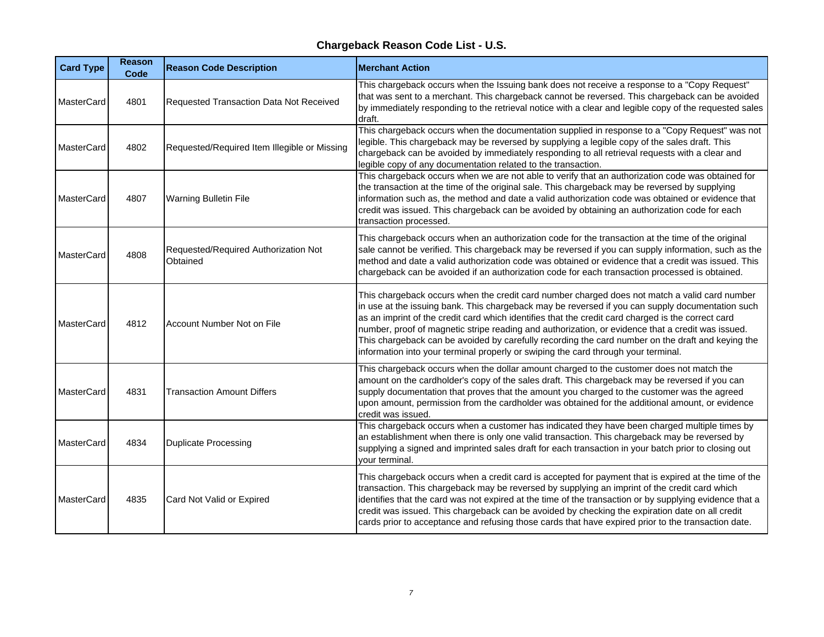| <b>Card Type</b>  | <b>Reason</b><br>Code | <b>Reason Code Description</b>                   | <b>Merchant Action</b>                                                                                                                                                                                                                                                                                                                                                                                                                                                                                                                                                                                  |
|-------------------|-----------------------|--------------------------------------------------|---------------------------------------------------------------------------------------------------------------------------------------------------------------------------------------------------------------------------------------------------------------------------------------------------------------------------------------------------------------------------------------------------------------------------------------------------------------------------------------------------------------------------------------------------------------------------------------------------------|
| MasterCard        | 4801                  | Requested Transaction Data Not Received          | This chargeback occurs when the Issuing bank does not receive a response to a "Copy Request"<br>that was sent to a merchant. This chargeback cannot be reversed. This chargeback can be avoided<br>by immediately responding to the retrieval notice with a clear and legible copy of the requested sales<br>draft.                                                                                                                                                                                                                                                                                     |
| MasterCard        | 4802                  | Requested/Required Item Illegible or Missing     | This chargeback occurs when the documentation supplied in response to a "Copy Request" was not<br>legible. This chargeback may be reversed by supplying a legible copy of the sales draft. This<br>chargeback can be avoided by immediately responding to all retrieval requests with a clear and<br>legible copy of any documentation related to the transaction.                                                                                                                                                                                                                                      |
| <b>MasterCard</b> | 4807                  | <b>Warning Bulletin File</b>                     | This chargeback occurs when we are not able to verify that an authorization code was obtained for<br>the transaction at the time of the original sale. This chargeback may be reversed by supplying<br>information such as, the method and date a valid authorization code was obtained or evidence that<br>credit was issued. This chargeback can be avoided by obtaining an authorization code for each<br>transaction processed.                                                                                                                                                                     |
| MasterCard        | 4808                  | Requested/Required Authorization Not<br>Obtained | This chargeback occurs when an authorization code for the transaction at the time of the original<br>sale cannot be verified. This chargeback may be reversed if you can supply information, such as the<br>method and date a valid authorization code was obtained or evidence that a credit was issued. This<br>chargeback can be avoided if an authorization code for each transaction processed is obtained.                                                                                                                                                                                        |
| MasterCard        | 4812                  | Account Number Not on File                       | This chargeback occurs when the credit card number charged does not match a valid card number<br>in use at the issuing bank. This chargeback may be reversed if you can supply documentation such<br>as an imprint of the credit card which identifies that the credit card charged is the correct card<br>number, proof of magnetic stripe reading and authorization, or evidence that a credit was issued.<br>This chargeback can be avoided by carefully recording the card number on the draft and keying the<br>information into your terminal properly or swiping the card through your terminal. |
| <b>MasterCard</b> | 4831                  | <b>Transaction Amount Differs</b>                | This chargeback occurs when the dollar amount charged to the customer does not match the<br>amount on the cardholder's copy of the sales draft. This chargeback may be reversed if you can<br>supply documentation that proves that the amount you charged to the customer was the agreed<br>upon amount, permission from the cardholder was obtained for the additional amount, or evidence<br>credit was issued.                                                                                                                                                                                      |
| MasterCard        | 4834                  | <b>Duplicate Processing</b>                      | This chargeback occurs when a customer has indicated they have been charged multiple times by<br>an establishment when there is only one valid transaction. This chargeback may be reversed by<br>supplying a signed and imprinted sales draft for each transaction in your batch prior to closing out<br>your terminal.                                                                                                                                                                                                                                                                                |
| MasterCard        | 4835                  | Card Not Valid or Expired                        | This chargeback occurs when a credit card is accepted for payment that is expired at the time of the<br>transaction. This chargeback may be reversed by supplying an imprint of the credit card which<br>identifies that the card was not expired at the time of the transaction or by supplying evidence that a<br>credit was issued. This chargeback can be avoided by checking the expiration date on all credit<br>cards prior to acceptance and refusing those cards that have expired prior to the transaction date.                                                                              |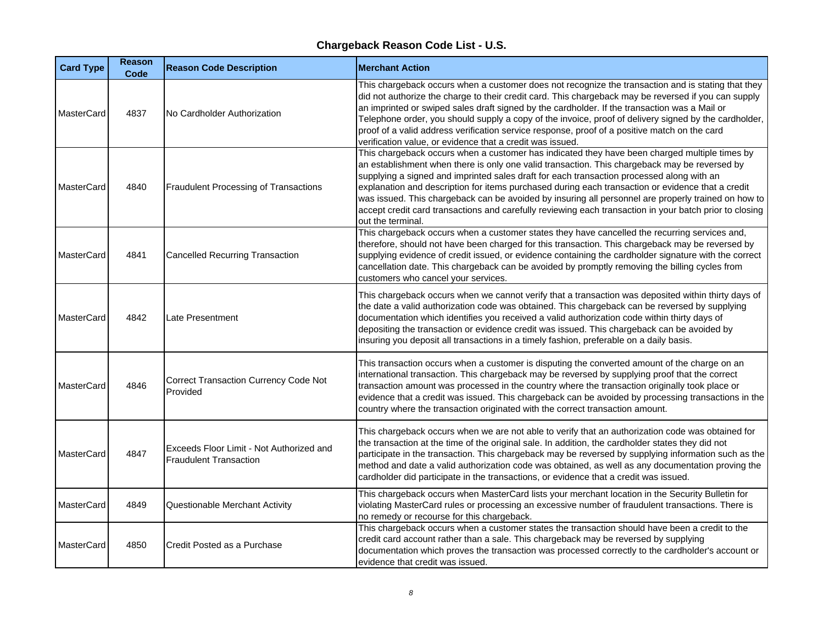| <b>Card Type</b>  | <b>Reason</b><br>Code | <b>Reason Code Description</b>                                            | <b>Merchant Action</b>                                                                                                                                                                                                                                                                                                                                                                                                                                                                                                                                                                                                                  |
|-------------------|-----------------------|---------------------------------------------------------------------------|-----------------------------------------------------------------------------------------------------------------------------------------------------------------------------------------------------------------------------------------------------------------------------------------------------------------------------------------------------------------------------------------------------------------------------------------------------------------------------------------------------------------------------------------------------------------------------------------------------------------------------------------|
| <b>MasterCard</b> | 4837                  | No Cardholder Authorization                                               | This chargeback occurs when a customer does not recognize the transaction and is stating that they<br>did not authorize the charge to their credit card. This chargeback may be reversed if you can supply<br>an imprinted or swiped sales draft signed by the cardholder. If the transaction was a Mail or<br>Telephone order, you should supply a copy of the invoice, proof of delivery signed by the cardholder,<br>proof of a valid address verification service response, proof of a positive match on the card<br>verification value, or evidence that a credit was issued.                                                      |
| <b>MasterCard</b> | 4840                  | Fraudulent Processing of Transactions                                     | This chargeback occurs when a customer has indicated they have been charged multiple times by<br>an establishment when there is only one valid transaction. This chargeback may be reversed by<br>supplying a signed and imprinted sales draft for each transaction processed along with an<br>explanation and description for items purchased during each transaction or evidence that a credit<br>was issued. This chargeback can be avoided by insuring all personnel are properly trained on how to<br>accept credit card transactions and carefully reviewing each transaction in your batch prior to closing<br>out the terminal. |
| <b>MasterCard</b> | 4841                  | <b>Cancelled Recurring Transaction</b>                                    | This chargeback occurs when a customer states they have cancelled the recurring services and,<br>therefore, should not have been charged for this transaction. This chargeback may be reversed by<br>supplying evidence of credit issued, or evidence containing the cardholder signature with the correct<br>cancellation date. This chargeback can be avoided by promptly removing the billing cycles from<br>customers who cancel your services.                                                                                                                                                                                     |
| MasterCard        | 4842                  | <b>Late Presentment</b>                                                   | This chargeback occurs when we cannot verify that a transaction was deposited within thirty days of<br>the date a valid authorization code was obtained. This chargeback can be reversed by supplying<br>documentation which identifies you received a valid authorization code within thirty days of<br>depositing the transaction or evidence credit was issued. This chargeback can be avoided by<br>insuring you deposit all transactions in a timely fashion, preferable on a daily basis.                                                                                                                                         |
| MasterCard        | 4846                  | <b>Correct Transaction Currency Code Not</b><br>Provided                  | This transaction occurs when a customer is disputing the converted amount of the charge on an<br>international transaction. This chargeback may be reversed by supplying proof that the correct<br>transaction amount was processed in the country where the transaction originally took place or<br>evidence that a credit was issued. This chargeback can be avoided by processing transactions in the<br>country where the transaction originated with the correct transaction amount.                                                                                                                                               |
| <b>MasterCard</b> | 4847                  | Exceeds Floor Limit - Not Authorized and<br><b>Fraudulent Transaction</b> | This chargeback occurs when we are not able to verify that an authorization code was obtained for<br>the transaction at the time of the original sale. In addition, the cardholder states they did not<br>participate in the transaction. This chargeback may be reversed by supplying information such as the<br>method and date a valid authorization code was obtained, as well as any documentation proving the<br>cardholder did participate in the transactions, or evidence that a credit was issued.                                                                                                                            |
| <b>MasterCard</b> | 4849                  | Questionable Merchant Activity                                            | This chargeback occurs when MasterCard lists your merchant location in the Security Bulletin for<br>violating MasterCard rules or processing an excessive number of fraudulent transactions. There is<br>no remedy or recourse for this chargeback.                                                                                                                                                                                                                                                                                                                                                                                     |
| <b>MasterCard</b> | 4850                  | Credit Posted as a Purchase                                               | This chargeback occurs when a customer states the transaction should have been a credit to the<br>credit card account rather than a sale. This chargeback may be reversed by supplying<br>documentation which proves the transaction was processed correctly to the cardholder's account or<br>evidence that credit was issued.                                                                                                                                                                                                                                                                                                         |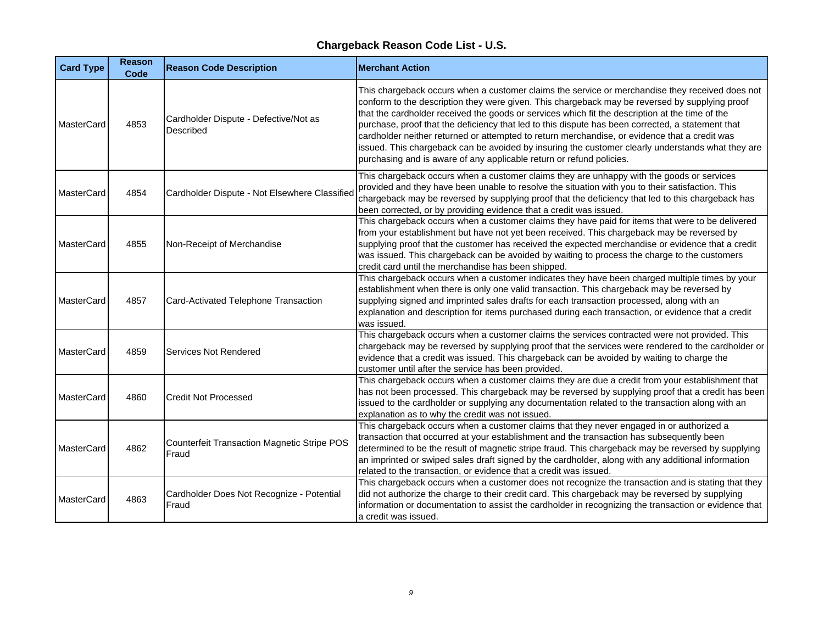| <b>Card Type</b>  | <b>Reason</b><br>Code | <b>Reason Code Description</b>                            | <b>Merchant Action</b>                                                                                                                                                                                                                                                                                                                                                                                                                                                                                                                                                                                                                                                                  |
|-------------------|-----------------------|-----------------------------------------------------------|-----------------------------------------------------------------------------------------------------------------------------------------------------------------------------------------------------------------------------------------------------------------------------------------------------------------------------------------------------------------------------------------------------------------------------------------------------------------------------------------------------------------------------------------------------------------------------------------------------------------------------------------------------------------------------------------|
| MasterCard        | 4853                  | Cardholder Dispute - Defective/Not as<br><b>Described</b> | This chargeback occurs when a customer claims the service or merchandise they received does not<br>conform to the description they were given. This chargeback may be reversed by supplying proof<br>that the cardholder received the goods or services which fit the description at the time of the<br>purchase, proof that the deficiency that led to this dispute has been corrected, a statement that<br>cardholder neither returned or attempted to return merchandise, or evidence that a credit was<br>issued. This chargeback can be avoided by insuring the customer clearly understands what they are<br>purchasing and is aware of any applicable return or refund policies. |
| MasterCard        | 4854                  | Cardholder Dispute - Not Elsewhere Classified             | This chargeback occurs when a customer claims they are unhappy with the goods or services<br>provided and they have been unable to resolve the situation with you to their satisfaction. This<br>chargeback may be reversed by supplying proof that the deficiency that led to this chargeback has<br>been corrected, or by providing evidence that a credit was issued.                                                                                                                                                                                                                                                                                                                |
| MasterCard        | 4855                  | Non-Receipt of Merchandise                                | This chargeback occurs when a customer claims they have paid for items that were to be delivered<br>from your establishment but have not yet been received. This chargeback may be reversed by<br>supplying proof that the customer has received the expected merchandise or evidence that a credit<br>was issued. This chargeback can be avoided by waiting to process the charge to the customers<br>credit card until the merchandise has been shipped.                                                                                                                                                                                                                              |
| <b>MasterCard</b> | 4857                  | Card-Activated Telephone Transaction                      | This chargeback occurs when a customer indicates they have been charged multiple times by your<br>establishment when there is only one valid transaction. This chargeback may be reversed by<br>supplying signed and imprinted sales drafts for each transaction processed, along with an<br>explanation and description for items purchased during each transaction, or evidence that a credit<br>was issued.                                                                                                                                                                                                                                                                          |
| <b>MasterCard</b> | 4859                  | Services Not Rendered                                     | This chargeback occurs when a customer claims the services contracted were not provided. This<br>chargeback may be reversed by supplying proof that the services were rendered to the cardholder or<br>evidence that a credit was issued. This chargeback can be avoided by waiting to charge the<br>customer until after the service has been provided.                                                                                                                                                                                                                                                                                                                                |
| MasterCard        | 4860                  | <b>Credit Not Processed</b>                               | This chargeback occurs when a customer claims they are due a credit from your establishment that<br>has not been processed. This chargeback may be reversed by supplying proof that a credit has been<br>issued to the cardholder or supplying any documentation related to the transaction along with an<br>explanation as to why the credit was not issued.                                                                                                                                                                                                                                                                                                                           |
| MasterCard        | 4862                  | Counterfeit Transaction Magnetic Stripe POS<br>Fraud      | This chargeback occurs when a customer claims that they never engaged in or authorized a<br>transaction that occurred at your establishment and the transaction has subsequently been<br>determined to be the result of magnetic stripe fraud. This chargeback may be reversed by supplying<br>an imprinted or swiped sales draft signed by the cardholder, along with any additional information<br>related to the transaction, or evidence that a credit was issued.                                                                                                                                                                                                                  |
| MasterCard        | 4863                  | Cardholder Does Not Recognize - Potential<br>Fraud        | This chargeback occurs when a customer does not recognize the transaction and is stating that they<br>did not authorize the charge to their credit card. This chargeback may be reversed by supplying<br>information or documentation to assist the cardholder in recognizing the transaction or evidence that<br>a credit was issued.                                                                                                                                                                                                                                                                                                                                                  |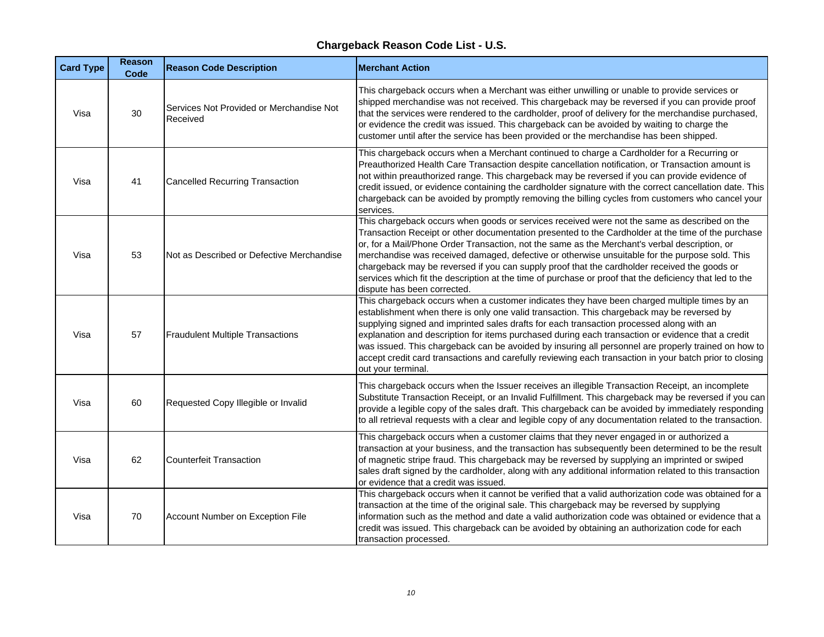| <b>Card Type</b> | <b>Reason</b><br>Code | <b>Reason Code Description</b>                       | <b>Merchant Action</b>                                                                                                                                                                                                                                                                                                                                                                                                                                                                                                                                                                                                                          |
|------------------|-----------------------|------------------------------------------------------|-------------------------------------------------------------------------------------------------------------------------------------------------------------------------------------------------------------------------------------------------------------------------------------------------------------------------------------------------------------------------------------------------------------------------------------------------------------------------------------------------------------------------------------------------------------------------------------------------------------------------------------------------|
| Visa             | 30                    | Services Not Provided or Merchandise Not<br>Received | This chargeback occurs when a Merchant was either unwilling or unable to provide services or<br>shipped merchandise was not received. This chargeback may be reversed if you can provide proof<br>that the services were rendered to the cardholder, proof of delivery for the merchandise purchased,<br>or evidence the credit was issued. This chargeback can be avoided by waiting to charge the<br>customer until after the service has been provided or the merchandise has been shipped.                                                                                                                                                  |
| Visa             | 41                    | <b>Cancelled Recurring Transaction</b>               | This chargeback occurs when a Merchant continued to charge a Cardholder for a Recurring or<br>Preauthorized Health Care Transaction despite cancellation notification, or Transaction amount is<br>not within preauthorized range. This chargeback may be reversed if you can provide evidence of<br>credit issued, or evidence containing the cardholder signature with the correct cancellation date. This<br>chargeback can be avoided by promptly removing the billing cycles from customers who cancel your<br>services.                                                                                                                   |
| Visa             | 53                    | Not as Described or Defective Merchandise            | This chargeback occurs when goods or services received were not the same as described on the<br>Transaction Receipt or other documentation presented to the Cardholder at the time of the purchase<br>or, for a Mail/Phone Order Transaction, not the same as the Merchant's verbal description, or<br>merchandise was received damaged, defective or otherwise unsuitable for the purpose sold. This<br>chargeback may be reversed if you can supply proof that the cardholder received the goods or<br>services which fit the description at the time of purchase or proof that the deficiency that led to the<br>dispute has been corrected. |
| Visa             | 57                    | <b>Fraudulent Multiple Transactions</b>              | This chargeback occurs when a customer indicates they have been charged multiple times by an<br>establishment when there is only one valid transaction. This chargeback may be reversed by<br>supplying signed and imprinted sales drafts for each transaction processed along with an<br>explanation and description for items purchased during each transaction or evidence that a credit<br>was issued. This chargeback can be avoided by insuring all personnel are properly trained on how to<br>accept credit card transactions and carefully reviewing each transaction in your batch prior to closing<br>out your terminal.             |
| Visa             | 60                    | Requested Copy Illegible or Invalid                  | This chargeback occurs when the Issuer receives an illegible Transaction Receipt, an incomplete<br>Substitute Transaction Receipt, or an Invalid Fulfillment. This chargeback may be reversed if you can<br>provide a legible copy of the sales draft. This chargeback can be avoided by immediately responding<br>to all retrieval requests with a clear and legible copy of any documentation related to the transaction.                                                                                                                                                                                                                     |
| Visa             | 62                    | <b>Counterfeit Transaction</b>                       | This chargeback occurs when a customer claims that they never engaged in or authorized a<br>transaction at your business, and the transaction has subsequently been determined to be the result<br>of magnetic stripe fraud. This chargeback may be reversed by supplying an imprinted or swiped<br>sales draft signed by the cardholder, along with any additional information related to this transaction<br>or evidence that a credit was issued.                                                                                                                                                                                            |
| Visa             | 70                    | Account Number on Exception File                     | This chargeback occurs when it cannot be verified that a valid authorization code was obtained for a<br>transaction at the time of the original sale. This chargeback may be reversed by supplying<br>information such as the method and date a valid authorization code was obtained or evidence that a<br>credit was issued. This chargeback can be avoided by obtaining an authorization code for each<br>transaction processed.                                                                                                                                                                                                             |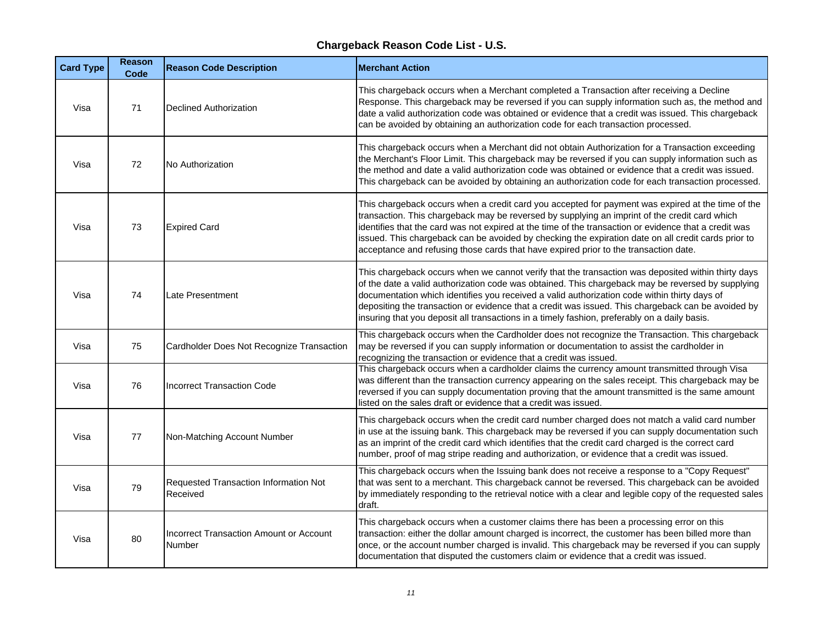| <b>Card Type</b> | <b>Reason</b><br>Code | <b>Reason Code Description</b>                           | <b>Merchant Action</b>                                                                                                                                                                                                                                                                                                                                                                                                                                                                                        |
|------------------|-----------------------|----------------------------------------------------------|---------------------------------------------------------------------------------------------------------------------------------------------------------------------------------------------------------------------------------------------------------------------------------------------------------------------------------------------------------------------------------------------------------------------------------------------------------------------------------------------------------------|
| Visa             | 71                    | <b>Declined Authorization</b>                            | This chargeback occurs when a Merchant completed a Transaction after receiving a Decline<br>Response. This chargeback may be reversed if you can supply information such as, the method and<br>date a valid authorization code was obtained or evidence that a credit was issued. This chargeback<br>can be avoided by obtaining an authorization code for each transaction processed.                                                                                                                        |
| Visa             | 72                    | No Authorization                                         | This chargeback occurs when a Merchant did not obtain Authorization for a Transaction exceeding<br>the Merchant's Floor Limit. This chargeback may be reversed if you can supply information such as<br>the method and date a valid authorization code was obtained or evidence that a credit was issued.<br>This chargeback can be avoided by obtaining an authorization code for each transaction processed.                                                                                                |
| Visa             | 73                    | <b>Expired Card</b>                                      | This chargeback occurs when a credit card you accepted for payment was expired at the time of the<br>transaction. This chargeback may be reversed by supplying an imprint of the credit card which<br>identifies that the card was not expired at the time of the transaction or evidence that a credit was<br>issued. This chargeback can be avoided by checking the expiration date on all credit cards prior to<br>acceptance and refusing those cards that have expired prior to the transaction date.    |
| Visa             | 74                    | Late Presentment                                         | This chargeback occurs when we cannot verify that the transaction was deposited within thirty days<br>of the date a valid authorization code was obtained. This chargeback may be reversed by supplying<br>documentation which identifies you received a valid authorization code within thirty days of<br>depositing the transaction or evidence that a credit was issued. This chargeback can be avoided by<br>insuring that you deposit all transactions in a timely fashion, preferably on a daily basis. |
| Visa             | 75                    | Cardholder Does Not Recognize Transaction                | This chargeback occurs when the Cardholder does not recognize the Transaction. This chargeback<br>may be reversed if you can supply information or documentation to assist the cardholder in<br>recognizing the transaction or evidence that a credit was issued.                                                                                                                                                                                                                                             |
| Visa             | 76                    | <b>Incorrect Transaction Code</b>                        | This chargeback occurs when a cardholder claims the currency amount transmitted through Visa<br>was different than the transaction currency appearing on the sales receipt. This chargeback may be<br>reversed if you can supply documentation proving that the amount transmitted is the same amount<br>listed on the sales draft or evidence that a credit was issued.                                                                                                                                      |
| Visa             | 77                    | Non-Matching Account Number                              | This chargeback occurs when the credit card number charged does not match a valid card number<br>in use at the issuing bank. This chargeback may be reversed if you can supply documentation such<br>as an imprint of the credit card which identifies that the credit card charged is the correct card<br>number, proof of mag stripe reading and authorization, or evidence that a credit was issued.                                                                                                       |
| Visa             | 79                    | Requested Transaction Information Not<br>Received        | This chargeback occurs when the Issuing bank does not receive a response to a "Copy Request"<br>that was sent to a merchant. This chargeback cannot be reversed. This chargeback can be avoided<br>by immediately responding to the retrieval notice with a clear and legible copy of the requested sales<br>draft.                                                                                                                                                                                           |
| Visa             | 80                    | <b>Incorrect Transaction Amount or Account</b><br>Number | This chargeback occurs when a customer claims there has been a processing error on this<br>transaction: either the dollar amount charged is incorrect, the customer has been billed more than<br>once, or the account number charged is invalid. This chargeback may be reversed if you can supply<br>documentation that disputed the customers claim or evidence that a credit was issued.                                                                                                                   |